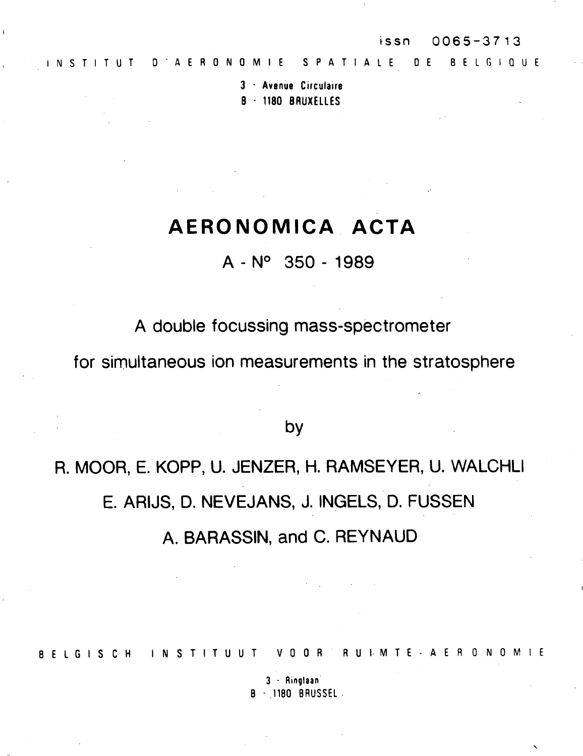$\ddot{\phantom{0}}$ 

**3 - Avenue Circulaire B - 1180 BRUXELLE <sup>S</sup>**

# **AER O NOMIC A ACT A**

A - N° 350 - 1989

A double focussing mass-spectrometer

for simultaneous ion measurements in the stratosphere

by

R. MOOR, E. KOPP, U. JENZER, H. RAMSEYER, U. WALCHLI E. ARIJS, D. NEVEJANS, J. INGELS, D. FUSSEN

A. BARASSIN, and C. REYNAUD

BELGISCH INSTITUUT VOOR RUIMTE-AERONOMIE

**3 - Ringlaa <sup>n</sup>** B • 1180 BRUSSEL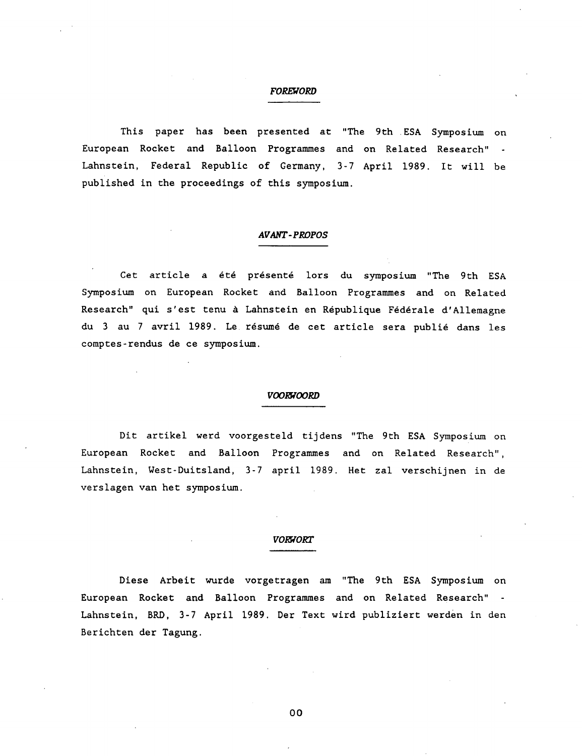### *FOREWORD*

This paper has been presented at "The 9th . ESA Symposium on European Rocket and Balloon Programmes and on Related Research" Lahnstein, Federal Republic of Germany, 3-7 April 1989. It will be published in the proceedings of this symposium.

## *AVANT-PROPOS*

Cet article a été présenté lors du symposium "The 9th ESA Symposium on European Rocket and Balloon Programmes and on Related Research" qui s'est tenu à Lahnstein en République Fédérale d'Allemagne du 3 au 7 avril 1989. Le résumé de cet article sera publié dans les comptes-rendus de ce symposium.

#### *VOORWOORD*

Dit artikel werd voorgesteld tijdens "The 9th ESA Symposium on European Rocket and Balloon Programmes and on Related Research", Lahnstein, West-Duitsland, 3-7 april 1989. Het zal verschijnen in de verslagen van het symposium.

# *VORWORT*

Diese Arbeit wurde vorgetragen am "The 9th ESA Symposium on European Rocket and Balloon Programmes and on Related Research" Lahnstein, BRD, 3-7 April 1989. Der Text wird publiziert werden in den Berichten der Tagung.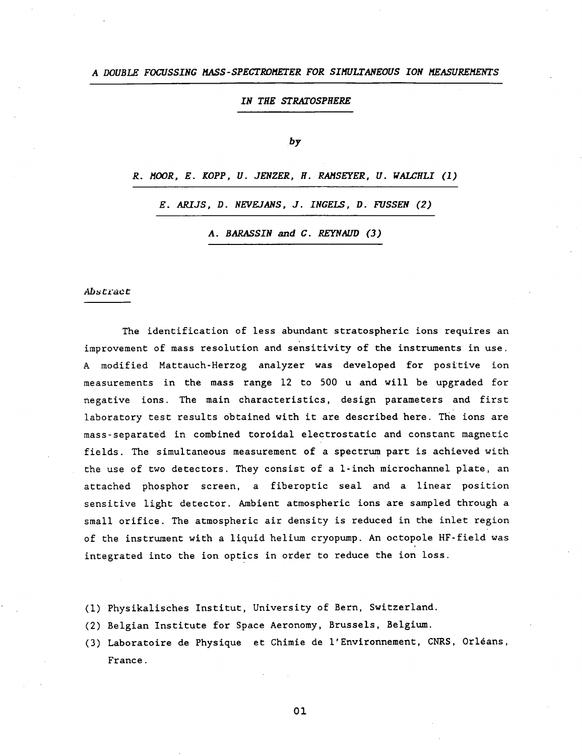#### *IN THE STRATOSPHERE*

#### *by*

*R. MOOR, E. KOPP, U. JENZER, H. RAMSEYER, U. WALCHLI (1)* 

*E. ARIJS, D. NEVEJANS, J. INGELS, D. FUSSEN (2)* 

*A. BARASSIN and C. REYNAIJD (3)* 

#### *Abu Ci'tzc t*

The identification of less abundant stratospheric ions requires an improvement of mass resolution and sensitivity of the instruments in use. A modified Mattauch-Herzog analyzer was developed for positive ion measurements in the mass range 12 to 500 u and will be upgraded for negative ions. The main characteristics, design parameters and first laboratory test results obtained with it are described here. The ions are mass-separated in combined toroidal electrostatic and constant magnetic fields. The simultaneous measurement of a spectrum part is achieved with the use of two detectors. They consist of a 1-inch microchannel plate, an attached phosphor screen, a fiberoptic seal and a linear position sensitive light detector. Ambient atmospheric ions are sampled through a small orifice. The atmospheric air density is reduced in the inlet region of the instrument with a liquid helium cryopump. An octopole HF-field was integrated into the ion optics in order to reduce the ion loss.

- (1) Physikalisches Institut, University of Bern, Switzerland.
- (2) Belgian Institute for Space Aeronomy, Brussels, Belgium.
- (3) Laboratoire de Physique et Chimie de l'Environnement, CNRS, Orléans, France.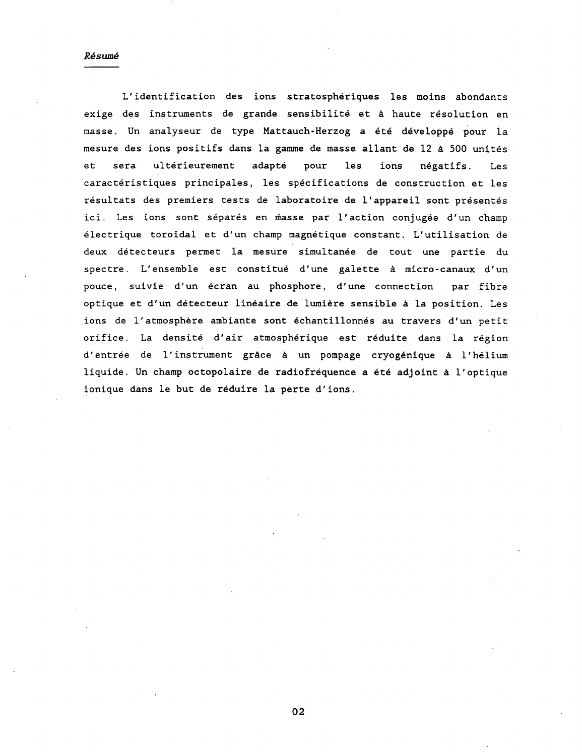#### Résumé

L'identification des ions stratosphériques les moins abondants exige des instruments de grande sensibilité et à haute résolution en masse. Un analyseur de type Mattauch-Herzog a été développé pour la mesure des ions positifs dans la gamme de masse allant de 12 à 500 unités et sera ultérieurement adapté pour les ions négatifs. Les caractéristiques principales, les spécifications de construction et les résultats des premiers tests de laboratoire de l'appareil sont présentés ici. Les ions sont séparés en masse par l'action conjugée d'un champ électrique toroidal et d'un champ magnétique constant. L'utilisation de deux détecteurs permet la mesure simultanée de tout une partie du spectre. L'ensemble est constitué d'une galette à micro-canaux d'un pouce, suivie d'un écran au phosphore, d'une connection par fibre optique et d'un détecteur linéaire de lumière sensible à la position. Les ions de l'atmosphère ambiante sont échantillonnés au travers d'un petit orifice. La densité d'air atmosphérique est réduite dans la région d'entrée de l'instrument grâce à un pompage cryogénique à l'hélium liquide. Un champ octopolaire de radiofréquence a été adjoint à l'optique ionique dans le but de réduire la perte d'ions.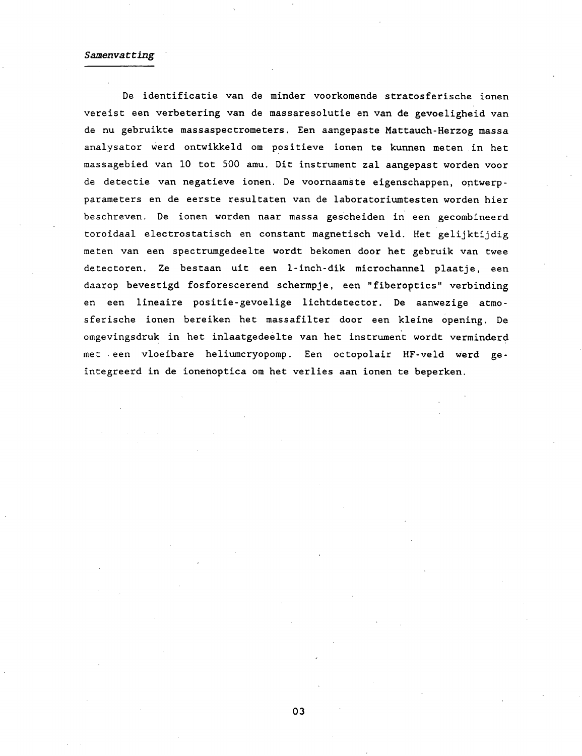#### *Samenvatting*

De identificatie van de minder voorkomende stratosferische ionen vereist een verbetering van de massaresolutie en van de gevoeligheid van de nu gebruikte massaspectrometers. Een aangepaste Mattauch-Herzog massa analysator werd ontwikkeld om positieve ionen te kunnen meten in het massagebied van 10 tot 500 amu. Dit instrument zal aangepast worden voor de detectie van negatieve ionen. De voornaamste eigenschappen, ontwerp parameters en de eerste resultaten van de laboratoriumtesten worden hier beschreven. De ionen worden naar massa gescheiden in een gecombineerd toroidaal electrostatisch en constant magnetisch veld. Het gelijktijdig meten van een spectrumgedeelte wordt bekomen door het gebruik van twee detectoren. Ze bestaan uit een 1-inch-dik microchannel plaatje, een daarop bevestigd fosforescerend schermpje, een "fiberoptics" verbinding en een lineaire positie-gevoelige lichtdetector. De aanwezige atmosferische ionen bereiken het massafilter door een kleine opening. De omgevingsdruk in het inlaatgedeelte van het instrument wordt verminderd met een vloeibare heliumcryopomp. Een octopolair HF-veld werd geïntegreerd in de ionenoptica om het verlies aan ionen te beperken.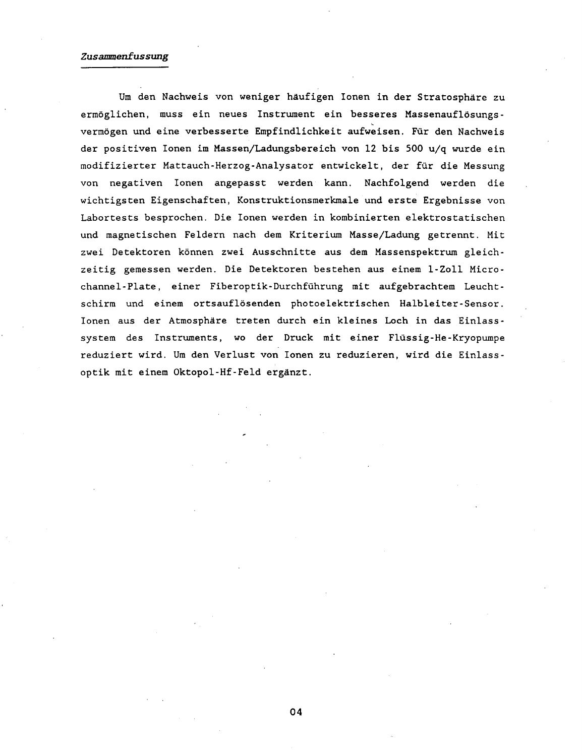# *Zusammenfassung*

Um den Nachweis von weniger häufigen Ionen in der Stratosphäre zu ermöglichen, muss ein neues Instrument ein besseres Massenauflösungsvermögen und eine verbesserte Empfindlichkeit aufweisen. Für den Nachweis der positiven Ionen im Massen/Ladungsbereich von 12 bis 500 u/q wurde ein modifizierter Mattauch-Herzog-Analysator entwickelt, der für die Messung von negativen Ionen angepasst werden kann. Nachfolgend werden die wichtigsten Eigenschaften, Konstruktionsmerkmale und erste Ergebnisse von Labortests besprochen. Die Ionen werden in kombinierten elektrostatischen und magnetischen Feldern nach dem Kriterium Masse/Ladung getrennt. Mit zwei Detektoren können zwei Ausschnitte aus dem Massenspektrum gleichzeitig gemessen werden. Die Detektoren bestehen aus einem 1-Zoll Micro-Channel-Plate, einer Fiberoptik-Durchführung mit aufgebrachtem Leuchtschirm und einem ortsauflösenden photoelektrischen Halbleiter-Sensor. Ionen aus der Atmosphäre treten durch ein kleines Loch in das Einlasssystem des Instruments, wo der Druck mit einer Flüssig-He-Kryopumpe reduziert wird. Um den Verlust von Ionen zu reduzieren, wird die Einlassoptik mit einem Oktopol-Hf-Feld ergänzt.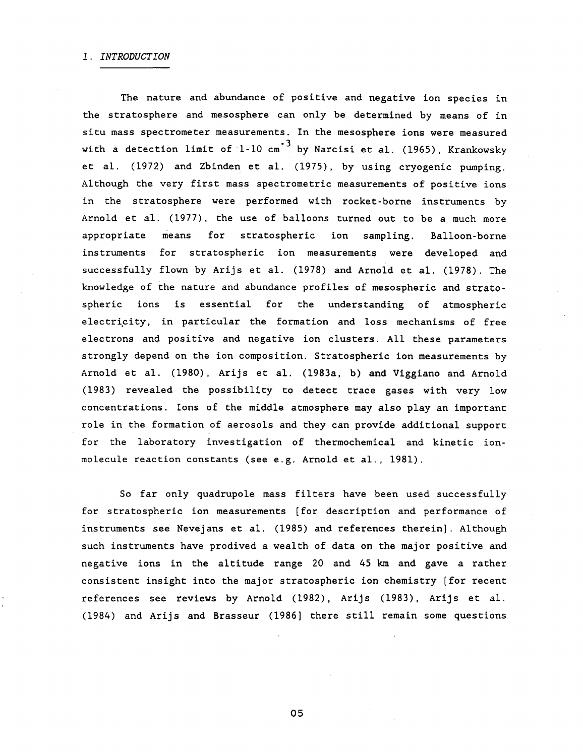The nature and abundance of positive and negative ion species in the stratosphere and mesosphere can only be determined by means of in situ mass spectrometer measurements. In the mesosphere ions were measured with a detection limit of 1-10  $\text{cm}^{-3}$  by Narcisi et al. (1965). Krankowsky with a detection limit of 1-10 cm by Narcisis et al. (1965), Krankowsky et al. (1972) and Zbinden et al. (1975), by using cryogenic pumping. Although the very first mass spectrometric measurements of positive ions in the stratosphere were performed with rocket-borne instruments by Arnold et al. (1977), the use of balloons turned out to be a much more<br>appropriate means for stratospheric ion sampling. Balloon-borne appropriate means for stratospheric ion sampling. Balloon-borne instruments for stratospheric ion measurements were developed and successfully flown by Arijs et al. (1978) and Arnold et al. (1978). The knowledge of the nature and abundance profiles of mesospheric and stratospheric ions is essential for the understanding of atmospheric electricity, in particular the formation and loss mechanisms of free electrons and positive and negative ion clusters. All these parameters strongly depend on the ion composition. Stratospheric ion measurements by Arnold et al. (1980), Arijs et al. (1983a, b) and Viggiano and Arnold (1983) revealed the possibility to detect trace gases with very low concentrations. Ions of the middle atmosphere may also play an important role in the formation of aerosols and they can provide additional support for the laboratory investigation of thermochemical and kinetic ionmolecule reaction constants (see e.g. Arnold et al., 1981).

So far only quadrupole mass filters have been used successfully for stratospheric ion measurements [for description and performance of instruments see Nevejans et al. (1985) and references therein]. Although such instruments have prodived a wealth of data on the major positive and negative ions in the altitude range 20 and 45 km and gave a rather consistent insight into the major stratospheric ion chemistry [for recent references see reviews by Arnold (1982), Arijs (1983), Arijs et al. (1984) and Arijs and Brasseur (1986] there still remain some questions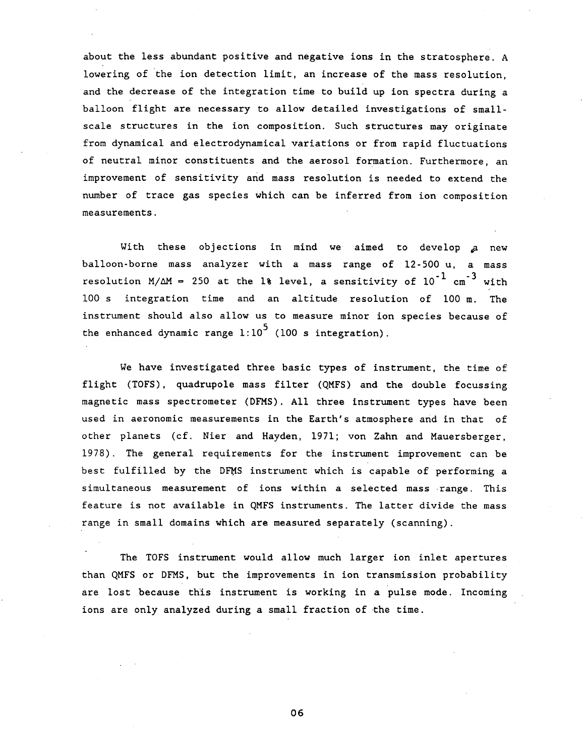about the less abundant positive and negative ions in the stratosphere. A lowering of the ion detection limit, an increase of the mass resolution, and the decrease of the integration time to build up ion spectra during a balloon flight are necessary to allow detailed investigations of smallscale structures in the ion composition. Such structures may originate from dynamical and electrodynamical variations or from rapid fluctuations of neutral minor constituents and the aerosol formation. Furthermore, an improvement of sensitivity and mass resolution is needed to extend the number of trace gas species which can be inferred from ion composition measurements.

With these objections in mind we aimed to develop a new balloon-borne mass analyzer with a mass range of 12-500 u, a mass resolution  $M/\Delta M = 250$  at the 1% level, a sensitivity of 10<sup>-1</sup> cm<sup>-3</sup> with  $100$  s integration time and an altitude resolution of  $100$  m. The instrument should also allow us to measure minor ion species because of the enhanced dynamic range  $1:10^5$  (100 s integration).  $\mathbf{t} = \mathbf{t} \cdot \mathbf{t}$  integration (100 s integration). The endamic range 1:10 s integration (100 s integration).

We have investigated three basic types of instrument, the time of flight (TOFS), quadrupole mass filter (QMFS) and the double focussing magnetic mass spectrometer (DFMS). All three instrument types have been used in aeronomic measurements in the Earth's atmosphere and in that of other planets (cf. Nier and Hayden, 1971; von Zahn and Mauersberger, 1978) . The general requirements for the instrument improvement can be best fulfilled by the DFMS instrument which is capable of performing a simultaneous measurement of ions within a selected mass range. This feature is not available in QMFS instruments. The latter divide the mass range in small domains which are measured separately (scanning).

The TOFS instrument would allow much larger ion inlet apertures than QMFS or DFMS, but the improvements in ion transmission probability are lost because this instrument is working in a pulse mode. Incoming ions are only analyzed during a small fraction of the time.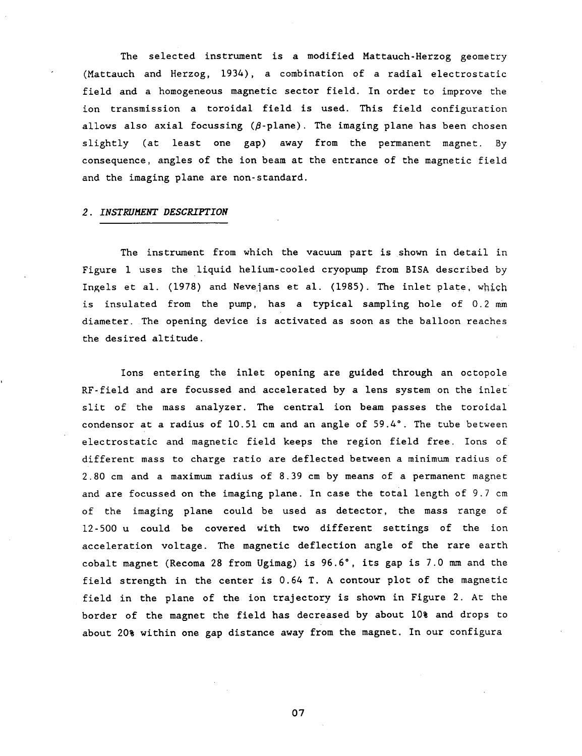The selected instrument is a modified Mattauch-Herzog geometry (Mattauch and Herzog, 1934), a combination of a radial electrostatic field and a homogeneous magnetic sector field. In order to improve the ion transmission a toroidal field is used. This field configuration allows also axial focussing  $(\beta$ -plane). The imaging plane has been chosen slightly (at least one gap) away from the permanent magnet. By consequence, angles of the ion beam at the entrance of the magnetic field and the imaging plane are non-standard.

## *2. INSTRUMENT DESCRIPTION*

The instrument from which the vacuum part is shown in detail in Figure 1 uses the liquid helium-cooled cryopump from BISA described by Ingels et al. (1978) and Nevejans et al. (1985). The inlet plate, which is insulated from the pump, has a typical sampling hole of 0.2 mm diameter. The opening device is activated as soon as the balloon reaches the desired altitude.

Ions entering the inlet opening are guided through an octopole RF-field and are focussed and accelerated by a lens system on the inlet slit of the mass analyzer. The central ion beam passes the toroidal condensor at a radius of 10.51 cm and an angle of 59.4°. The tube between electrostatic and magnetic field keeps the region field free. Ions of different mass to charge ratio are deflected between a minimum radius of 2.80 cm and a maximum radius of 8.39 cm by means of a permanent magnet and are focussed on the imaging plane. In case the total length of 9.7 cm of the imaging plane could be used as detector, the mass range of 12-500 u could be covered with two different settings of the ion acceleration voltage. The magnetic deflection angle of the rare earth cobalt magnet (Recoma 28 from Ugimag) is 96.6°, its gap is 7.0 mm and the field strength in the center is 0.64 T. A contour plot of the magnetic field in the plane of the ion trajectory is shown in Figure 2. At the border of the magnet the field has decreased by about 10% and drops to about 20% within one gap distance away from the magnet. In our configura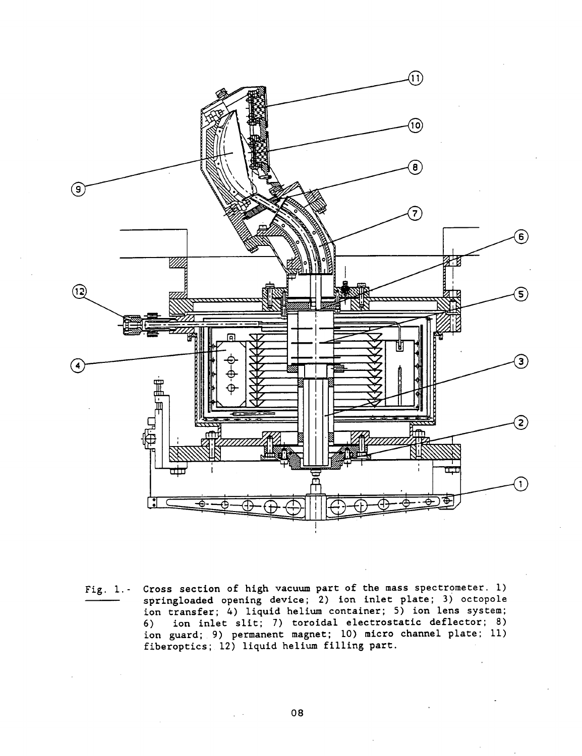

Fig. 1.- Cross section of high vacuum part of the mass spectrometer. 1) springloaded opening device; 2) ion inlet plate; 3) octopole ion transfer; 4) liquid helium container; 5) ion lens system; 6) ion inlet slit; 7) toroidal electrostatic deflector; 8) ion guard; 9) permanent magnet; 10) micro channel plate; 11) fiberoptics; 12) liquid helium filling part.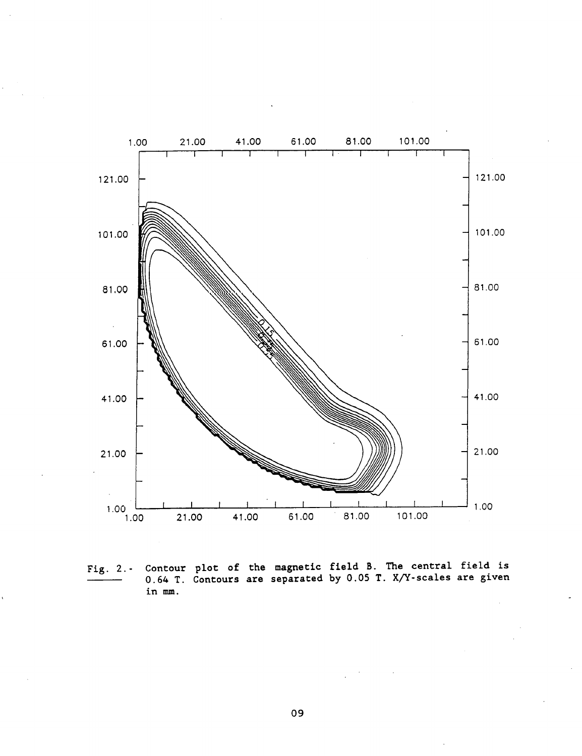

Fig. 2.- Contour plot of the magnetic field B. The central field is 0.64 T. Contours are separated by 0.05 T. X/Y-scales are given in mm.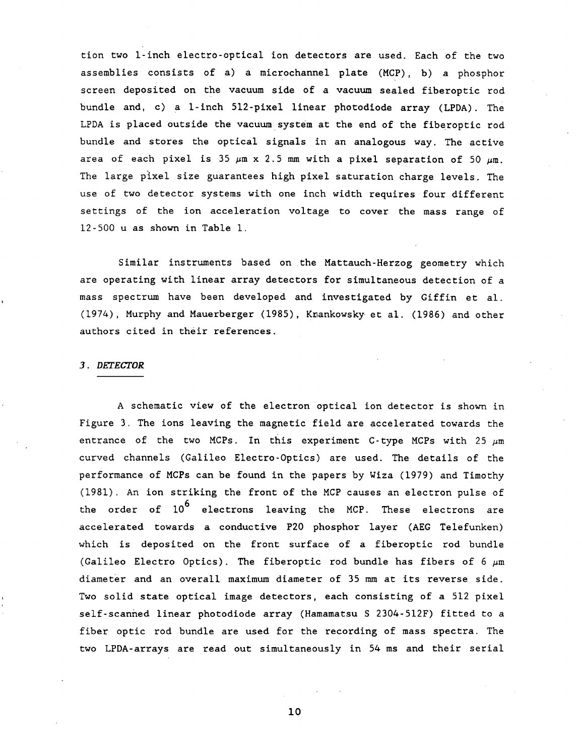tion two 1-inch electro-optical ion detectors are used. Each of the two assemblies consists of a) a microchannel plate (MCP), b) a phosphor screen deposited on the vacuum side of a vacuum sealed fiberoptic rod bundle and, c) a 1-inch 512-pixel linear photodiode array (LPDA). The LPDA is placed outside the vacuum system at the end of the fiberoptic rod bundle and stores the optical signals in an analogous way. The active area of each pixel is 35  $\mu$ m x 2.5 mm with a pixel separation of 50  $\mu$ m. The large pixel size guarantees high pixel saturation charge levels. The use of two detector systems with one inch width requires four different settings of the ion acceleration voltage to cover the mass range of 12-500 u as shown in Table 1.

Similar instruments based on the Mattauch-Herzog geometry which are operating with linear array detectors for simultaneous detection of a mass spectrum have been developed and investigated by Giffin et al. (1974), Murphy and Mauerberger (1985), Krankowsky et al. (1986) and other authors cited in their references.

## *3. DETECTOR*

A schematic view of the electron optical ion detector is shown in Figure 3. The ions leaving the magnetic field are accelerated towards the entrance of the two MCPs. In this experiment C-type MCPs with 25  $\mu$ m curved channels (Galileo Electro-Optics) are used. The details of the performance of MCPs can be found in the papers by Wiza (1979) and Timothy (1981) . An ion striking the front of the MCP causes an electron pulse of the order of  $10^6$  electrons leaving the MCP. These electrons are accelerated towards a conductive P20 phosphor layer (AEG Telefunken) which is deposited on the front surface of a fiberoptic rod bundle (Galileo Electro Optics). The fiberoptic rod bundle has fibers of 6  $\mu$ m diameter and an overall maximum diameter of 35 mm at its reverse side. Two solid state optical image detectors, each consisting of a 512 pixel self-scanned linear photodiode array (Hamamatsu S 2304-512F) fitted to a fiber optic rod bundle are used for the recording of mass spectra. The two LPDA-arrays are read out simultaneously in 54 ms and their serial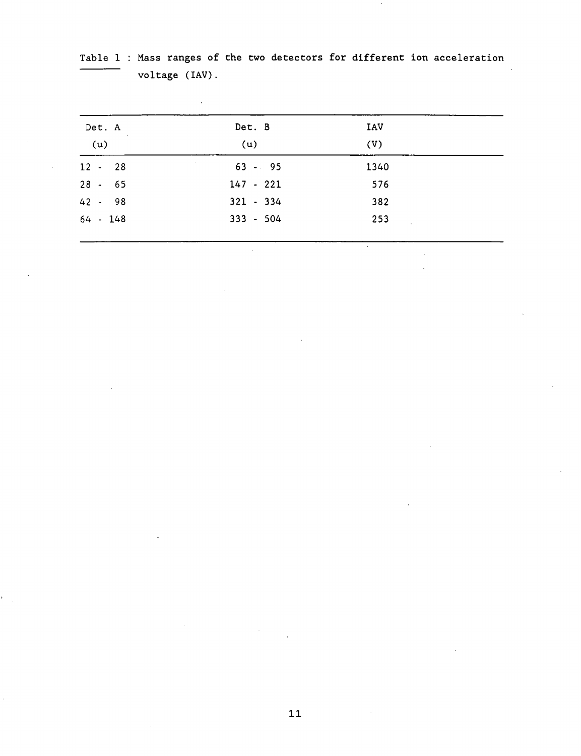| Det. A    | $\sim$ | Det. B      | IAV  |  |
|-----------|--------|-------------|------|--|
| (u)       |        | (u)         | (V)  |  |
| $12 - 28$ |        | $63 - 95$   | 1340 |  |
| $28 - 65$ |        | $147 - 221$ | 576  |  |
| 42 - 98   |        | $321 - 334$ | 382  |  |
| 64 - 148  |        | $333 - 504$ | 253  |  |

Table 1 : Mass ranges of the two detectors for different ion acceleration voltage (IAV).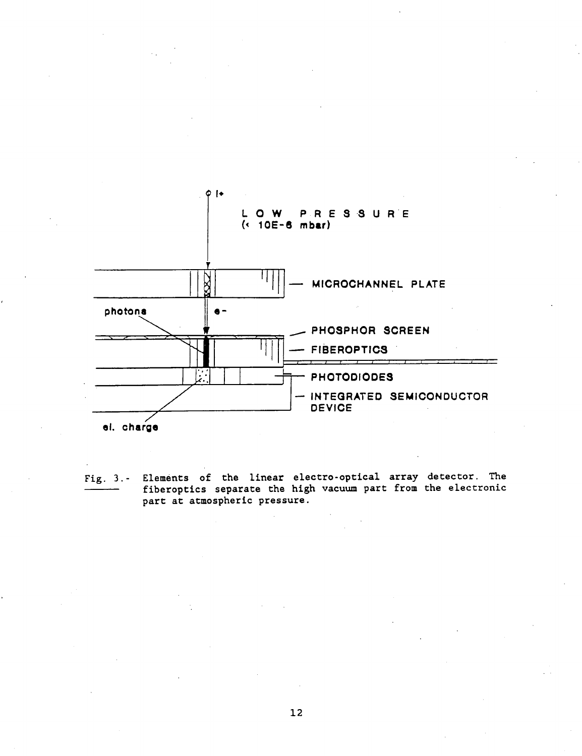

Fig. 3.- Elements of the linear electro-optical array detector. The fiberoptics separate the high vacuum part from the electronic part at atmospheric pressure.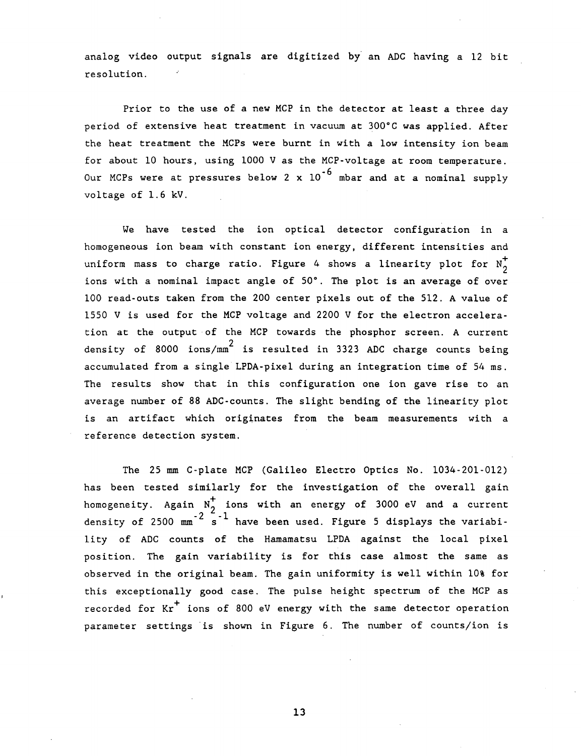analog video output signals are digitized by an ADC having a 12 bit resolution.

Prior to the use of a new MCP in the detector at least a three day period of extensive heat treatment in vacuum at 300°C was applied. After the heat treatment the MCPs were burnt in with a low intensity ion beam for about 10 hours, using 1000 V as the MCP-voltage at room temperature. Our MCPs were at pressures below 2 x  $10^{-6}$  mbar and at a nominal supply voltage of 1.6 kV.

We have tested the ion optical detector configuration in a homogeneous ion beam with constant ion energy, different intensities and uniform mass to charge ratio. Figure 4 shows a linearity plot for  $N_{0}^{+}$ ions with a nominal impact angle of 50°. The plot is an average of over 100 read-outs taken from the 200 center pixels out of the 512. A value of 1550 V is used for the MCP voltage and 2200 V for the electron acceleration at the output of the MCP towards the phosphor screen. A current density of 8000 ions/mm<sup>2</sup> is resulted in 3323 ADC charge counts being density of 8000 ions/mm is resulted in 3323 ADC charge counts being accumulated from a single LPDA-pixel during an integration time of 54 ms. The results show that in this configuration one ion gave rise to an<br>average number of 88 ADC-counts. The slight bending of the linearity plot average number of 88 ADC-counts. The slight bending of the linearity plot is an artifact which originates from the beam measurements with a reference detection system.

The 25 mm C-plate MCP (Galileo Electro Optics No. 1034-201-012) has been tested similarly for the investigation of the overall gain homogeneity. Again  $N_A^+$  ions with an energy of 3000 eV and a current density of 2500  $\text{mm}^{-2}$  s<sup>-1</sup> have been used. Figure 5 displays the variability of ADC counts of the Hamamatsu LPDA against the local pixel position. The gain variability is for this case almost the same as observed in the original beam. The gain uniformity is well within 10% for this exceptionally good case. The pulse height spectrum of the MCP as recorded for  $Kr^+$  ions of 800 eV energy with the same detector operation parameter settings is shown in Figure 6. The number of counts/ion is parameter settings is shown in Figure 6. The number of counts/ion is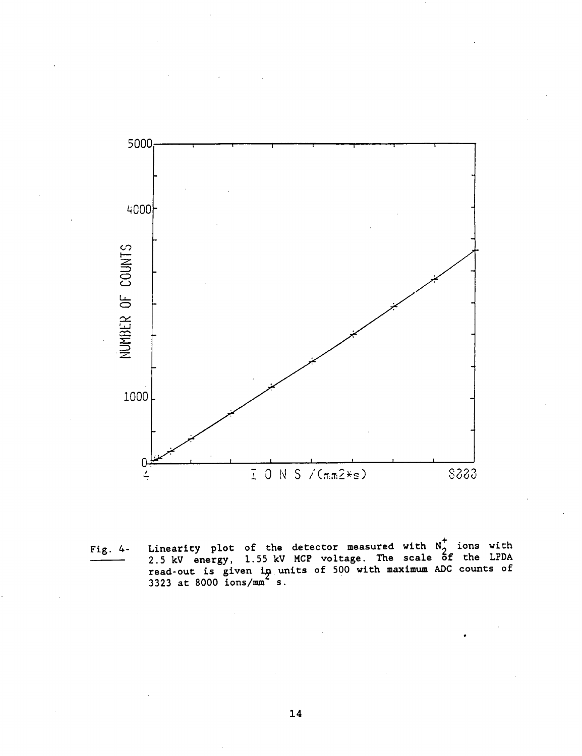

**Fig. 4- Linearity plot of the detector measured with Ng ions with 2.5 kV energy, 1.55 kV MCP voltage. The scale of the LPDA read-out is given i^ units of 500 with maximum ADC counts of 3323 at 8000 ions/mm s.**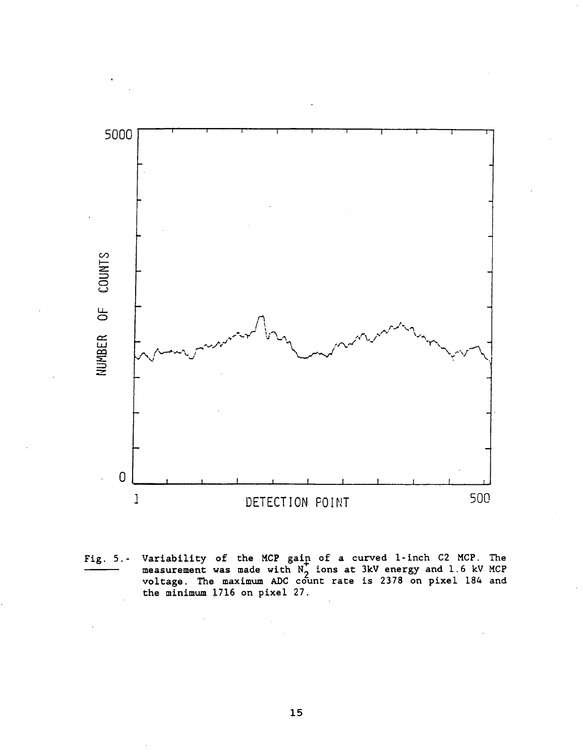

Fig. 5.- Variability of the MCP gain of a curved 1-inch C2 MCP. The measurement was made with  $N^2$  ions at 3kV energy and 1.6 kV MCP voltage. The maximum ADC count rate is 2378 on pixel 184 and the minimum 1716 on pixel 27.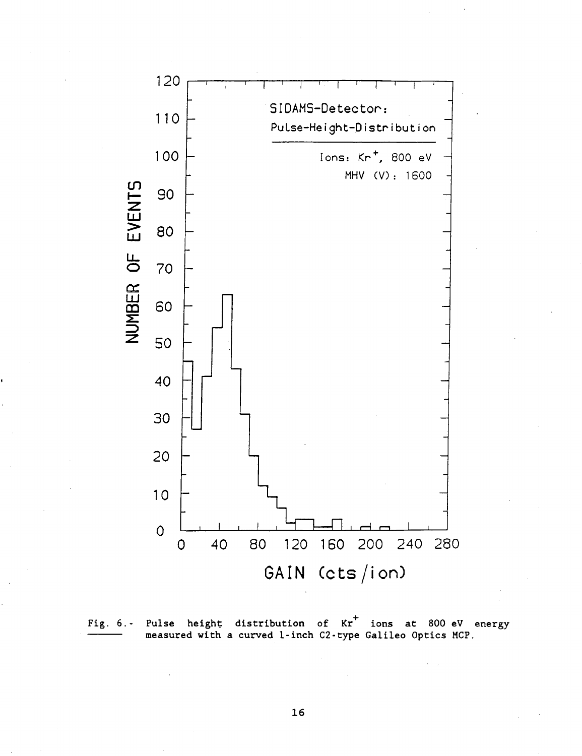



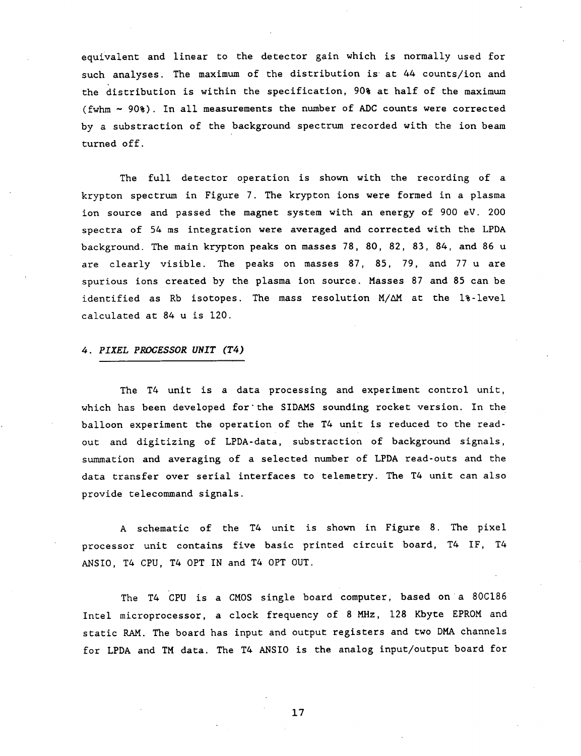equivalent and linear to the detector gain which is normally used for such analyses. The maximum of the distribution is at 44 counts/ion and the distribution is within the specification, 90% at half of the maximum (fwhm  $\sim$  90%). In all measurements the number of ADC counts were corrected by a substraction of the background spectrum recorded with the ion beam turned off.

The full detector operation is shown with the recording of a krypton spectrum in Figure 7. The krypton ions were formed in a plasma ion source and passed the magnet system with an energy of 900 eV. 200 spectra of 54 ms integration were averaged and corrected with the LPDA background. The main krypton peaks on masses 78, 80, 82, 83, 84, and 86 u are clearly visible. The peaks on masses 87, 85, 79, and 77 u are spurious ions created by the plasma ion source. Masses 87 and 85 can be identified as Rb isotopes. The mass resolution M/AM at the 1%-level calculated at 84 u is 120.

# *U. PIXEL PROCESSOR UNIT (T4)*

The T4 unit is a data processing and experiment control unit, which has been developed for"the SIDAMS sounding rocket version. In the balloon experiment the operation of the T4 unit is reduced to the readout and digitizing of LPDA-data, substraction of background signals, summation and averaging of a selected number of LPDA read-outs and the data transfer over serial interfaces to telemetry. The T4 unit can also provide telecommand signals.

A schematic of the T4 unit is shown in Figure 8. The pixel processor unit contains five basic printed circuit board, T4 IF, T4 ANSIO, T4 CPU, T4 OPT IN and T4 OPT OUT.

The T4 CPU is a CMOS single board computer, based on a 80C186 Intel microprocessor, a clock frequency of 8 MHz, 128 Kbyte EPROM and static RAM. The board has input and output registers and two DMA channels for LPDA and TM data. The T4 ANSIO is the analog input/output board for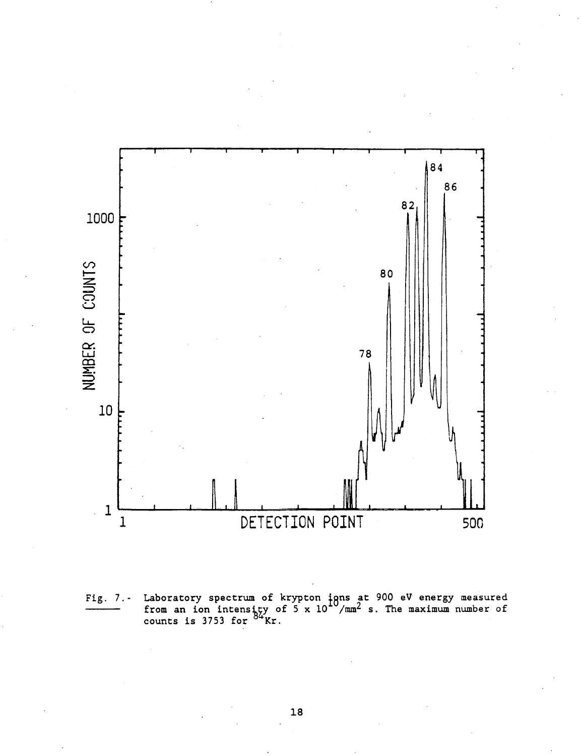

Fig. 7.- Laboratory spectrum of krypton igns at 900 eV energy measured from an ion intensity of 5 x  $10^{-3} / \text{mm}^2$  s. The maximum number of counts is  $3753$  for  $^{04}$ Kr.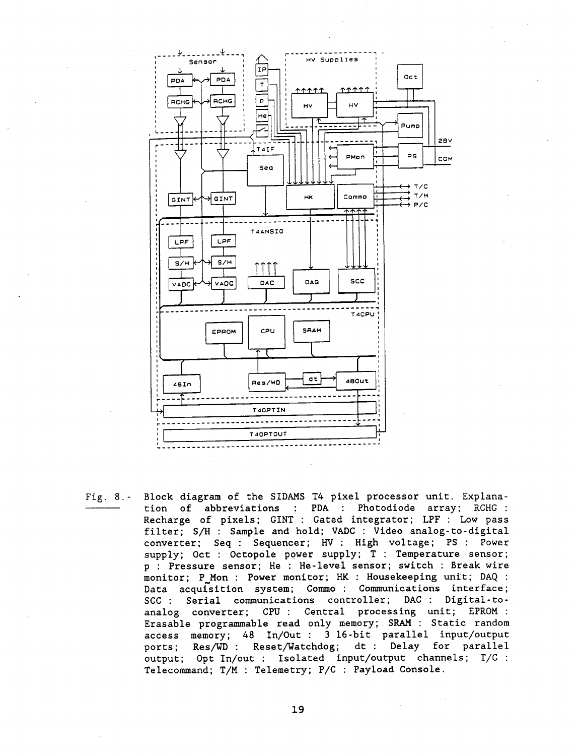

Fig. 8.- Block diagram of the SIDAMS T4 pixel processor unit. Explanation of abbreviations : PDA : Photodiode array; RCHG : Recharge of pixels; GINT : Gated integrator; LPF : Low pass filter; S/H : Sample and hold; VADC : Video analog-to-digital converter; Seq : Sequencer; HV : High voltage; PS : Power supply; Oct : Octopole power supply; T : Temperature sensor; p : Pressure sensor; He : He-level sensor; switch : Break wire monitor; P\_Mon : Power monitor; HK : Housekeeping unit; DAQ : Data acquisition system; Commo : Communications interface; SCC : Serial communications controller; DAC : Digital-toanalog converter; CPU : Central processing unit; EPROM : Erasable programmable read only memory; SRAM : Static random access memory; 48 In/Out : 3 16-bit parallel input/output ports; Res/WD : Reset/Watchdog; dt : Delay for parallel output; Opt In/out : Isolated input/output channels; T/C : Telecommand; T/M : Telemetry; P/C : Payload Console.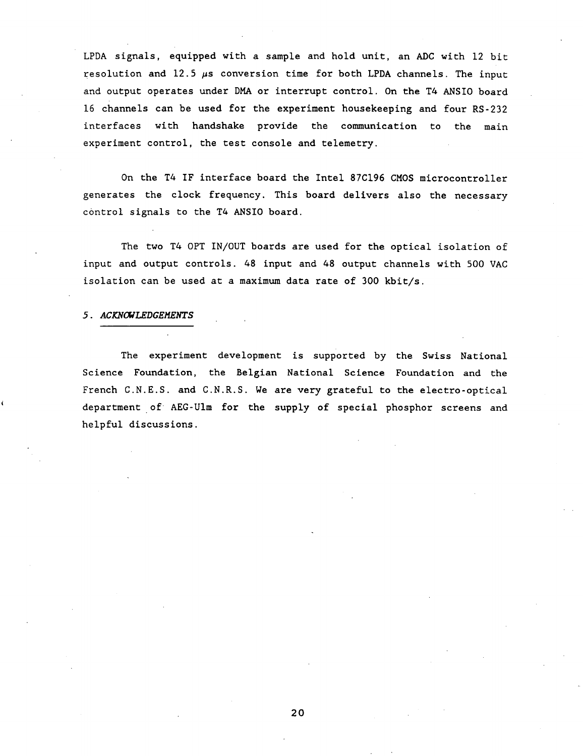LPDA signals, equipped with a sample and hold unit, an ADC with 12 bit resolution and 12.5  $\mu$ s conversion time for both LPDA channels. The input and output operates under DMA or interrupt control. On the T4 ANSIO board 16 channels can be used for the experiment housekeeping and four RS-232 interfaces with handshake provide the communication to the main experiment control, the test console and telemetry.

On the T4 IF interface board the Intel 87C196 CMOS microcontroller generates the clock frequency. This board delivers also the necessary control signals to the T4 ANSIO board.

The two T4 OPT IN/OUT boards are used for the optical isolation of input and output controls. 48 input and 48 output channels with 500 VAC isolation can be used at a maximum data rate of 300 kbit/s.

# *5. ACKNOWLEDGEMENTS*

The experiment development is supported by the Swiss National Science Foundation, the Belgian National Science Foundation and the French C.N.E.S. and C.N.R.S. We are very grateful to the electro-optical department of AEG-Ulm for the supply of special phosphor screens and helpful discussions.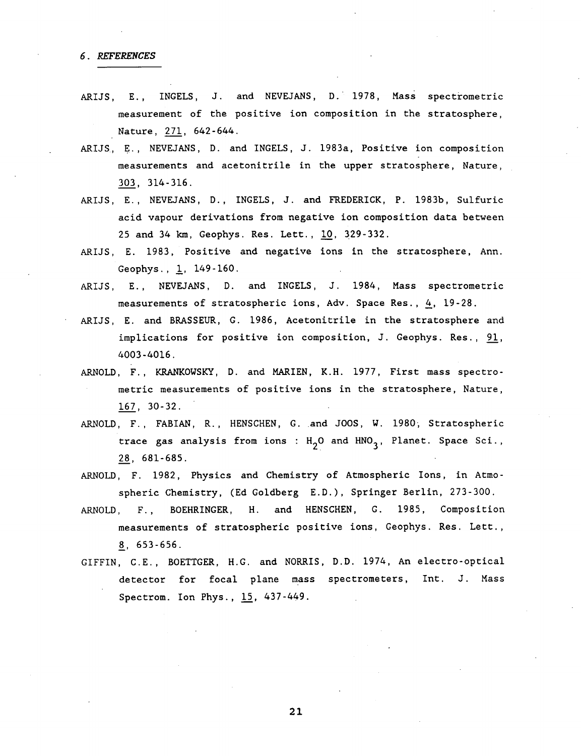## 6. REFERENCES

- ARIJS, E., INGELS, J. and NEVEJANS, D. 1978, Mass spectrometric measurement of the positive ion composition in the stratosphere, Nature, 271, 642-644.
- ARIJS, E., NEVEJANS, D. and INGELS, J. 1983a, Positive ion composition measurements and acetonitrile in the upper stratosphere, Nature, 303. 314-316.
- ARIJS, E., NEVEJANS, D., INGELS, J. and FREDERICK, P. 1983b, Sulfuric acid vapour derivations from negative ion composition data between 25 and 34 km, Geophys. Res. Lett., 10, 329-332.
- ARIJS, E. 1983, Positive and negative ions in the stratosphere, Ann . Geophys., 1, 149-160.
- ARIJS, E., NEVEJANS, D. and INGELS, J. 1984, Mass spectrometric measurements of stratospheric ions, Adv. Space Res., 4, 19-28.
- ARIJS, E. and BRASSEUR, G. 1986, Acetonitrile in the stratosphere and implications for positive ion composition, J. Geophys. Res., 91, 4003-4016.
- ARNOLD, F., KRANKOWSKY, D. and MARIEN, K.H. 1977, First mass spectrometric measurements of positive ions in the stratosphere, Nature, 167, 30-32.
- ARNOLD, F., FABIAN, R., HENSCHEN, G. and JOOS, W. 1980, Stratospheric trace gas analysis from ions :  $H_2O$  and HNO<sub>2</sub>, Planet. Space Sci., 28, 681-685.
- ARNOLD, F. 1982, Physics and Chemistry of Atmospheric Ions, in Atmospheric Chemistry, (Ed Goldberg E.D.), Springer Berlin, 273-300.
- ARNOLD, F., BOEHRINGER, H. and HENSCHEN, G. 1985, Composition measurements of stratospheric positive ions, Geophys. Res. Lett., 8, 653-656.
- GIFFIN, C.E., BOETTGER, H.G. and NORRIS, D.D. 1974, An electro-optical detector for focal plane mass spectrometers, Int. J. Mass Spectrom. Ion Phys., 15, 437-449.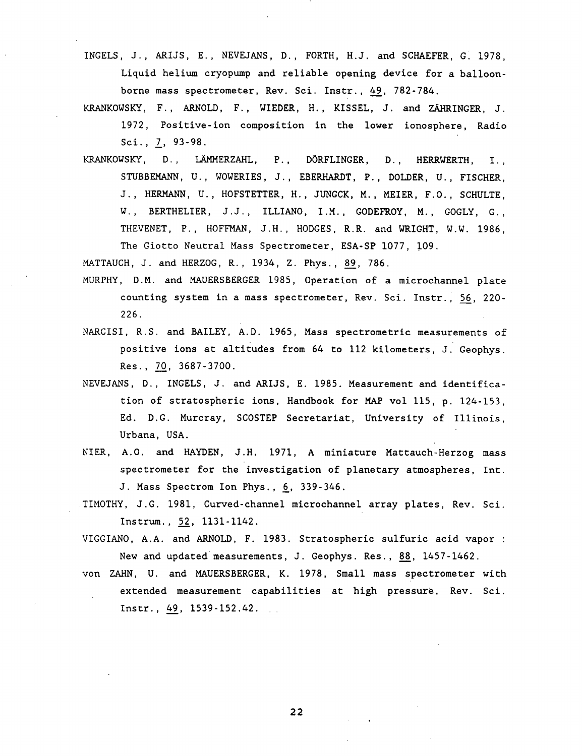- INGELS, J., ARIJS, E., NEVEJANS, D., FORTH, H.J. and SCHAEFER, G. 1978, Liquid helium cryopump and reliable opening device for a balloonborne mass spectrometer, Rev. Sci. Instr., 49, 782-784.
- KRANKOWSKY, F., ARNOLD, F., WIEDER, H., KISSEL, J. and ZÄHRINGER, J. 1972, Positive-ion composition in the lower ionosphere, Radio Sci., 7, 93-98.
- KRANKOWSKY, D., LAMMERZAHL, P., DORFLINGER, D., HERRWERTH, I., STUBBEMANN, U., WOWERIES, J., EBERHARDT, P., DOLDER, U., FISCHER, J ., HERMANN, U. , HOFSTETTER, H., JUNGCK, M., MEIER, F.O., SCHULTE, W., BERTHELIER, J.J., ILLIANO, I.M., GODEFROY, M., GOGLY, G., THEVENET, P., HOFFMAN, J.H., HODGES, R.R. and WRIGHT, W.W. 1986, The Giotto Neutral Mass Spectrometer, ESA-SP 1077, 109.

MATTAUCH, J. and HERZOG, R., 1934, Z. Phys., 89, 786.

- MURPHY, D.M. and MAUERSBERGER 1985, Operation of a microchannel plate counting system in a mass spectrometer, Rev. Sci. Instr., 56, 220- **226.**
- NARCISI, R.S. and BAILEY, A.D. 1965, Mass spectrometric measurements of positive ions at altitudes from 64 to 112 kilometers, J. Geophys. Res., 70, 3687-3700.
- NEVEJANS, D., INGELS, J. and ARIJS, E. 1985. Measurement and identification of stratospheric ions, Handbook for MAP vol 115, p. 124-153, Ed. D.G. Murcray, SCOSTEP Secretariat, University of Illinois, Urbana, USA.
- NIER, A.0. and HAYDEN, J.H. 1971, A miniature Mattauch-Herzog mass spectrometer for the investigation of planetary atmospheres, Int. J. Mass Spectrom Ion Phys., 6, 339-346.
- TIMOTHY, J.G. 1981, Curved-channel microchannel array plates, Rev. Sci. Instrum., 52, 1131-1142.
- VIGGIANO, A.A. and ARNOLD, F. 1983. Stratospheric sulfuric acid vapor : New and updated measurements, J. Geophys. Res., 88, 1457-1462.
- von ZAHN, U. and MAUERSBERGER, K. 1978, Small mass spectrometer with extended measurement capabilities at high pressure, Rev. Sci. Instr., 49, 1539-152.42.